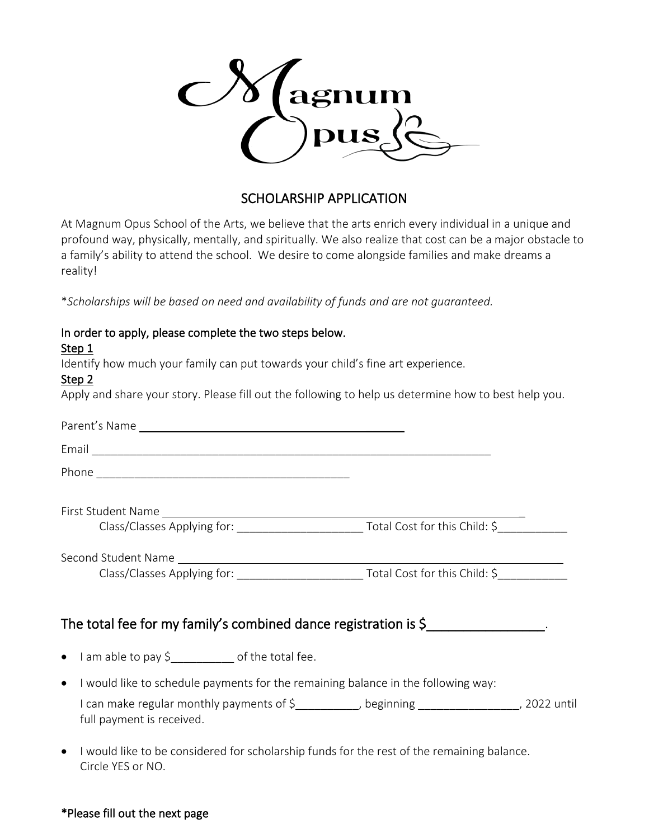

## SCHOLARSHIP APPLICATION

At Magnum Opus School of the Arts, we believe that the arts enrich every individual in a unique and profound way, physically, mentally, and spiritually. We also realize that cost can be a major obstacle to a family's ability to attend the school. We desire to come alongside families and make dreams a reality!

\**Scholarships will be based on need and availability of funds and are not guaranteed.* 

| In order to apply, please complete the two steps below.                                                                  |  |
|--------------------------------------------------------------------------------------------------------------------------|--|
| Step 1                                                                                                                   |  |
| Identify how much your family can put towards your child's fine art experience.                                          |  |
| Step 2                                                                                                                   |  |
| Apply and share your story. Please fill out the following to help us determine how to best help you.                     |  |
|                                                                                                                          |  |
|                                                                                                                          |  |
|                                                                                                                          |  |
|                                                                                                                          |  |
|                                                                                                                          |  |
|                                                                                                                          |  |
| Class/Classes Applying for: _______________________________Total Cost for this Child: \$_____________                    |  |
|                                                                                                                          |  |
| The total fee for my family's combined dance registration is $\zeta$                                                     |  |
| • I am able to pay \$<br>1.1200 magnetic pay \$                                                                          |  |
| • I would like to schedule payments for the remaining balance in the following way:                                      |  |
| I can make regular monthly payments of \$__________, beginning ________________, 2022 until<br>full payment is received. |  |

• I would like to be considered for scholarship funds for the rest of the remaining balance. Circle YES or NO.

## \*Please fill out the next page